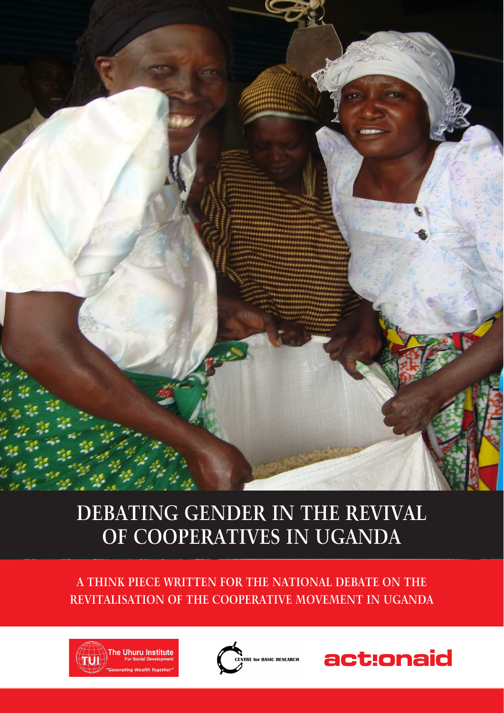

### **DEBATING GENDER IN THE REVIVAL OF COOPERATIVES IN UGANDA**

**A THINK PIECE WRITTEN FOR THE NATIONAL DEBATE ON THE REVITALISATION OF THE COOPERATIVE MOVEMENT IN UGANDA**





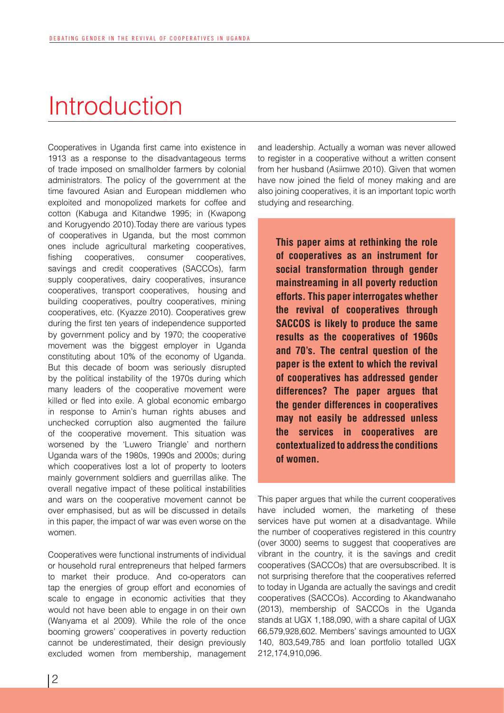### Introduction

Cooperatives in Uganda first came into existence in 1913 as a response to the disadvantageous terms of trade imposed on smallholder farmers by colonial administrators. The policy of the government at the time favoured Asian and European middlemen who exploited and monopolized markets for coffee and cotton (Kabuga and Kitandwe 1995; in (Kwapong and Korugyendo 2010).Today there are various types of cooperatives in Uganda, but the most common ones include agricultural marketing cooperatives, fishing cooperatives, consumer cooperatives, savings and credit cooperatives (SACCOs), farm supply cooperatives, dairy cooperatives, insurance cooperatives, transport cooperatives, housing and building cooperatives, poultry cooperatives, mining cooperatives, etc. (Kyazze 2010). Cooperatives grew during the first ten years of independence supported by government policy and by 1970; the cooperative movement was the biggest employer in Uganda constituting about 10% of the economy of Uganda. But this decade of boom was seriously disrupted by the political instability of the 1970s during which many leaders of the cooperative movement were killed or fled into exile. A global economic embargo in response to Amin's human rights abuses and unchecked corruption also augmented the failure of the cooperative movement. This situation was worsened by the 'Luwero Triangle' and northern Uganda wars of the 1980s, 1990s and 2000s; during which cooperatives lost a lot of property to looters mainly government soldiers and guerrillas alike. The overall negative impact of these political instabilities and wars on the cooperative movement cannot be over emphasised, but as will be discussed in details in this paper, the impact of war was even worse on the women.

Cooperatives were functional instruments of individual or household rural entrepreneurs that helped farmers to market their produce. And co-operators can tap the energies of group effort and economies of scale to engage in economic activities that they would not have been able to engage in on their own (Wanyama et al 2009). While the role of the once booming growers' cooperatives in poverty reduction cannot be underestimated, their design previously excluded women from membership, management and leadership. Actually a woman was never allowed to register in a cooperative without a written consent from her husband (Asiimwe 2010). Given that women have now joined the field of money making and are also joining cooperatives, it is an important topic worth studying and researching.

This paper aims at rethinking the role of cooperatives as an instrument for social transformation through gender mainstreaming in all poverty reduction efforts. This paper interrogates whether the revival of cooperatives through SACCOS is likely to produce the same results as the cooperatives of 1960s and 70's. The central question of the paper is the extent to which the revival of cooperatives has addressed gender differences? The paper argues that the gender differences in cooperatives may not easily be addressed unless the services in cooperatives are contextualized to address the conditions of women.

This paper argues that while the current cooperatives have included women, the marketing of these services have put women at a disadvantage. While the number of cooperatives registered in this country (over 3000) seems to suggest that cooperatives are vibrant in the country, it is the savings and credit cooperatives (SACCOs) that are oversubscribed. It is not surprising therefore that the cooperatives referred to today in Uganda are actually the savings and credit cooperatives (SACCOs). According to Akandwanaho (2013), membership of SACCOs in the Uganda stands at UGX 1,188,090, with a share capital of UGX 66,579,928,602. Members' savings amounted to UGX 140, 803,549,785 and loan portfolio totalled UGX 212,174,910,096.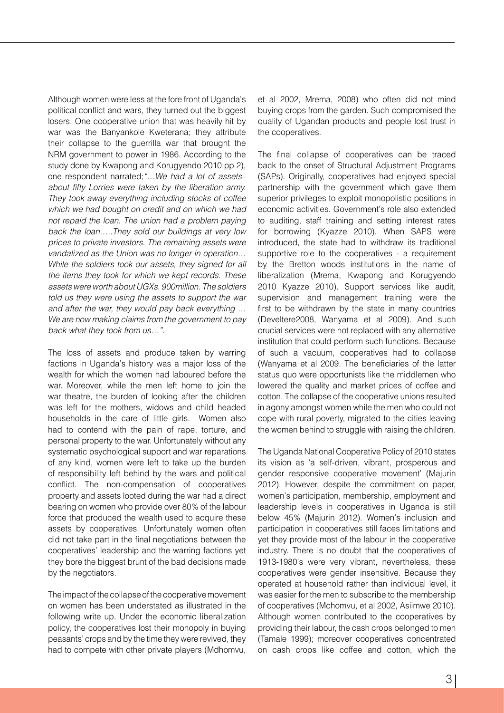Although women were less at the fore front of Uganda's political conflict and wars, they turned out the biggest losers. One cooperative union that was heavily hit by war was the Banyankole Kweterana; they attribute their collapse to the guerrilla war that brought the NRM government to power in 1986. According to the study done by Kwapong and Korugyendo 2010:pp 2), one respondent narrated;*"…We had a lot of assets– about fifty Lorries were taken by the liberation army. They took away everything including stocks of coffee which we had bought on credit and on which we had not repaid the loan. The union had a problem paying back the loan…..They sold our buildings at very low prices to private investors. The remaining assets were vandalized as the Union was no longer in operation… While the soldiers took our assets, they signed for all the items they took for which we kept records. These assets were worth about UGXs. 900million. The soldiers told us they were using the assets to support the war and after the war, they would pay back everything … We are now making claims from the government to pay back what they took from us…".*

The loss of assets and produce taken by warring factions in Uganda's history was a major loss of the wealth for which the women had laboured before the war. Moreover, while the men left home to join the war theatre, the burden of looking after the children was left for the mothers, widows and child headed households in the care of little girls. Women also had to contend with the pain of rape, torture, and personal property to the war. Unfortunately without any systematic psychological support and war reparations of any kind, women were left to take up the burden of responsibility left behind by the wars and political conflict. The non-compensation of cooperatives property and assets looted during the war had a direct bearing on women who provide over 80% of the labour force that produced the wealth used to acquire these assets by cooperatives. Unfortunately women often did not take part in the final negotiations between the cooperatives' leadership and the warring factions yet they bore the biggest brunt of the bad decisions made by the negotiators.

The impact of the collapse of the cooperative movement on women has been understated as illustrated in the following write up. Under the economic liberalization policy, the cooperatives lost their monopoly in buying peasants' crops and by the time they were revived, they had to compete with other private players (Mdhomvu,

et al 2002, Mrema, 2008) who often did not mind buying crops from the garden. Such compromised the quality of Ugandan products and people lost trust in the cooperatives.

The final collapse of cooperatives can be traced back to the onset of Structural Adjustment Programs (SAPs). Originally, cooperatives had enjoyed special partnership with the government which gave them superior privileges to exploit monopolistic positions in economic activities. Government's role also extended to auditing, staff training and setting interest rates for borrowing (Kyazze 2010). When SAPS were introduced, the state had to withdraw its traditional supportive role to the cooperatives - a requirement by the Bretton woods institutions in the name of liberalization (Mrema, Kwapong and Korugyendo 2010 Kyazze 2010). Support services like audit, supervision and management training were the first to be withdrawn by the state in many countries (Develtere2008, Wanyama et al 2009). And such crucial services were not replaced with any alternative institution that could perform such functions. Because of such a vacuum, cooperatives had to collapse (Wanyama et al 2009. The beneficiaries of the latter status quo were opportunists like the middlemen who lowered the quality and market prices of coffee and cotton. The collapse of the cooperative unions resulted in agony amongst women while the men who could not cope with rural poverty, migrated to the cities leaving the women behind to struggle with raising the children.

The Uganda National Cooperative Policy of 2010 states its vision as 'a self-driven, vibrant, prosperous and gender responsive cooperative movement' (Majurin 2012). However, despite the commitment on paper, women's participation, membership, employment and leadership levels in cooperatives in Uganda is still below 45% (Majurin 2012). Women's inclusion and participation in cooperatives still faces limitations and yet they provide most of the labour in the cooperative industry. There is no doubt that the cooperatives of 1913-1980's were very vibrant, nevertheless, these cooperatives were gender insensitive. Because they operated at household rather than individual level, it was easier for the men to subscribe to the membership of cooperatives (Mchomvu, et al 2002, Asiimwe 2010). Although women contributed to the cooperatives by providing their labour, the cash crops belonged to men (Tamale 1999); moreover cooperatives concentrated on cash crops like coffee and cotton, which the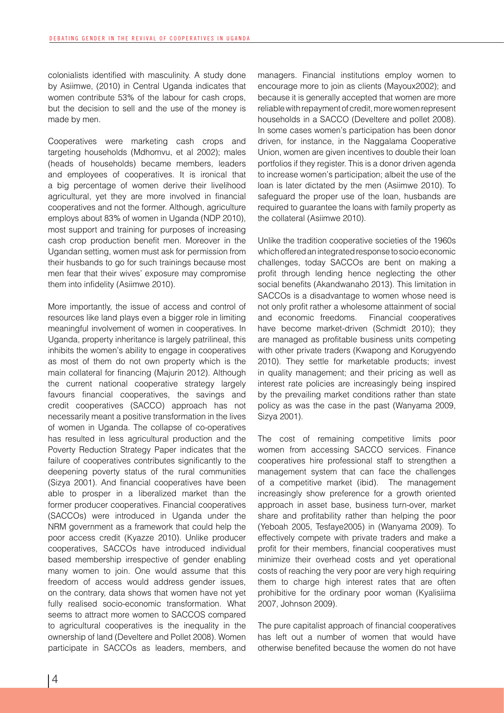colonialists identified with masculinity. A study done by Asiimwe, (2010) in Central Uganda indicates that women contribute 53% of the labour for cash crops, but the decision to sell and the use of the money is made by men.

Cooperatives were marketing cash crops and targeting households (Mdhomvu, et al 2002); males (heads of households) became members, leaders and employees of cooperatives. It is ironical that a big percentage of women derive their livelihood agricultural, yet they are more involved in financial cooperatives and not the former. Although, agriculture employs about 83% of women in Uganda (NDP 2010), most support and training for purposes of increasing cash crop production benefit men. Moreover in the Ugandan setting, women must ask for permission from their husbands to go for such trainings because most men fear that their wives' exposure may compromise them into infidelity (Asiimwe 2010).

More importantly, the issue of access and control of resources like land plays even a bigger role in limiting meaningful involvement of women in cooperatives. In Uganda, property inheritance is largely patrilineal, this inhibits the women's ability to engage in cooperatives as most of them do not own property which is the main collateral for financing (Majurin 2012). Although the current national cooperative strategy largely favours financial cooperatives, the savings and credit cooperatives (SACCO) approach has not necessarily meant a positive transformation in the lives of women in Uganda. The collapse of co-operatives has resulted in less agricultural production and the Poverty Reduction Strategy Paper indicates that the failure of cooperatives contributes significantly to the deepening poverty status of the rural communities (Sizya 2001). And financial cooperatives have been able to prosper in a liberalized market than the former producer cooperatives. Financial cooperatives (SACCOs) were introduced in Uganda under the NRM government as a framework that could help the poor access credit (Kyazze 2010). Unlike producer cooperatives, SACCOs have introduced individual based membership irrespective of gender enabling many women to join. One would assume that this freedom of access would address gender issues, on the contrary, data shows that women have not yet fully realised socio-economic transformation. What seems to attract more women to SACCOS compared to agricultural cooperatives is the inequality in the ownership of land (Develtere and Pollet 2008). Women participate in SACCOs as leaders, members, and

managers. Financial institutions employ women to encourage more to join as clients (Mayoux2002); and because it is generally accepted that women are more reliable with repayment of credit, more women represent households in a SACCO (Develtere and pollet 2008). In some cases women's participation has been donor driven, for instance, in the Naggalama Cooperative Union, women are given incentives to double their loan portfolios if they register. This is a donor driven agenda to increase women's participation; albeit the use of the loan is later dictated by the men (Asiimwe 2010). To safeguard the proper use of the loan, husbands are required to guarantee the loans with family property as the collateral (Asiimwe 2010).

Unlike the tradition cooperative societies of the 1960s which offered an integrated response to socio economic challenges, today SACCOs are bent on making a profit through lending hence neglecting the other social benefits (Akandwanaho 2013). This limitation in SACCOs is a disadvantage to women whose need is not only profit rather a wholesome attainment of social and economic freedoms. Financial cooperatives have become market-driven (Schmidt 2010); they are managed as profitable business units competing with other private traders (Kwapong and Korugyendo 2010). They settle for marketable products; invest in quality management; and their pricing as well as interest rate policies are increasingly being inspired by the prevailing market conditions rather than state policy as was the case in the past (Wanyama 2009, Sizya 2001).

The cost of remaining competitive limits poor women from accessing SACCO services. Finance cooperatives hire professional staff to strengthen a management system that can face the challenges of a competitive market (ibid). The management increasingly show preference for a growth oriented approach in asset base, business turn-over, market share and profitability rather than helping the poor (Yeboah 2005, Tesfaye2005) in (Wanyama 2009). To effectively compete with private traders and make a profit for their members, financial cooperatives must minimize their overhead costs and yet operational costs of reaching the very poor are very high requiring them to charge high interest rates that are often prohibitive for the ordinary poor woman (Kyalisiima 2007, Johnson 2009).

The pure capitalist approach of financial cooperatives has left out a number of women that would have otherwise benefited because the women do not have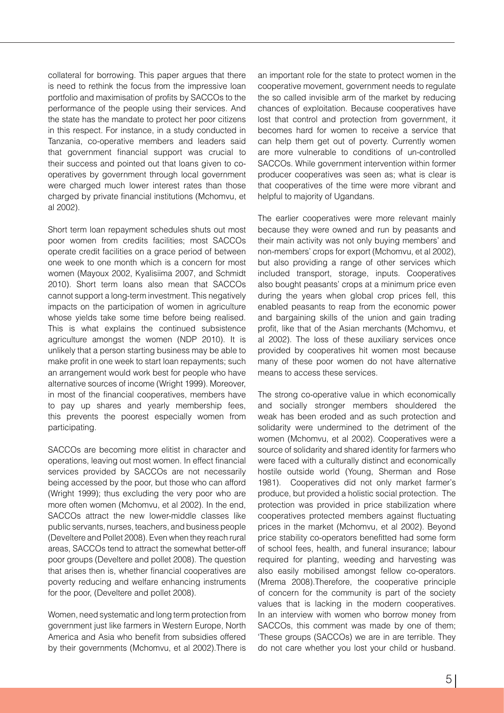collateral for borrowing. This paper argues that there is need to rethink the focus from the impressive loan portfolio and maximisation of profits by SACCOs to the performance of the people using their services. And the state has the mandate to protect her poor citizens in this respect. For instance, in a study conducted in Tanzania, co-operative members and leaders said that government financial support was crucial to their success and pointed out that loans given to cooperatives by government through local government were charged much lower interest rates than those charged by private financial institutions (Mchomvu, et al 2002).

Short term loan repayment schedules shuts out most poor women from credits facilities; most SACCOs operate credit facilities on a grace period of between one week to one month which is a concern for most women (Mayoux 2002, Kyalisiima 2007, and Schmidt 2010). Short term loans also mean that SACCOs cannot support a long-term investment. This negatively impacts on the participation of women in agriculture whose yields take some time before being realised. This is what explains the continued subsistence agriculture amongst the women (NDP 2010). It is unlikely that a person starting business may be able to make profit in one week to start loan repayments; such an arrangement would work best for people who have alternative sources of income (Wright 1999). Moreover, in most of the financial cooperatives, members have to pay up shares and yearly membership fees, this prevents the poorest especially women from participating.

SACCOs are becoming more elitist in character and operations, leaving out most women. In effect financial services provided by SACCOs are not necessarily being accessed by the poor, but those who can afford (Wright 1999); thus excluding the very poor who are more often women (Mchomvu, et al 2002). In the end, SACCOs attract the new lower-middle classes like public servants, nurses, teachers, and business people (Develtere and Pollet 2008). Even when they reach rural areas, SACCOs tend to attract the somewhat better-off poor groups (Develtere and pollet 2008). The question that arises then is, whether financial cooperatives are poverty reducing and welfare enhancing instruments for the poor, (Develtere and pollet 2008).

Women, need systematic and long term protection from government just like farmers in Western Europe, North America and Asia who benefit from subsidies offered by their governments (Mchomvu, et al 2002).There is

an important role for the state to protect women in the cooperative movement, government needs to regulate the so called invisible arm of the market by reducing chances of exploitation. Because cooperatives have lost that control and protection from government, it becomes hard for women to receive a service that can help them get out of poverty. Currently women are more vulnerable to conditions of un-controlled SACCOs. While government intervention within former producer cooperatives was seen as; what is clear is that cooperatives of the time were more vibrant and helpful to majority of Ugandans.

The earlier cooperatives were more relevant mainly because they were owned and run by peasants and their main activity was not only buying members' and non-members' crops for export (Mchomvu, et al 2002), but also providing a range of other services which included transport, storage, inputs. Cooperatives also bought peasants' crops at a minimum price even during the years when global crop prices fell, this enabled peasants to reap from the economic power and bargaining skills of the union and gain trading profit, like that of the Asian merchants (Mchomvu, et al 2002). The loss of these auxiliary services once provided by cooperatives hit women most because many of these poor women do not have alternative means to access these services.

The strong co-operative value in which economically and socially stronger members shouldered the weak has been eroded and as such protection and solidarity were undermined to the detriment of the women (Mchomvu, et al 2002). Cooperatives were a source of solidarity and shared identity for farmers who were faced with a culturally distinct and economically hostile outside world (Young, Sherman and Rose 1981). Cooperatives did not only market farmer's produce, but provided a holistic social protection. The protection was provided in price stabilization where cooperatives protected members against fluctuating prices in the market (Mchomvu, et al 2002). Beyond price stability co-operators benefitted had some form of school fees, health, and funeral insurance; labour required for planting, weeding and harvesting was also easily mobilised amongst fellow co-operators. (Mrema 2008).Therefore, the cooperative principle of concern for the community is part of the society values that is lacking in the modern cooperatives. In an interview with women who borrow money from SACCOs, this comment was made by one of them; 'These groups (SACCOs) we are in are terrible. They do not care whether you lost your child or husband.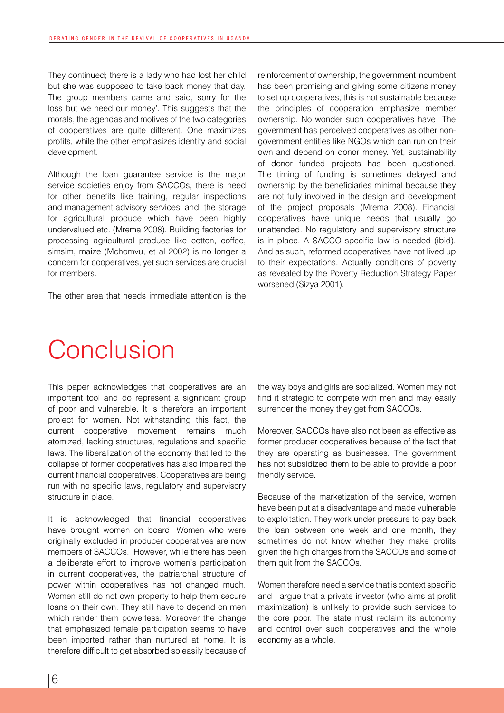They continued; there is a lady who had lost her child but she was supposed to take back money that day. The group members came and said, sorry for the loss but we need our money'. This suggests that the morals, the agendas and motives of the two categories of cooperatives are quite different. One maximizes profits, while the other emphasizes identity and social development.

Although the loan guarantee service is the major service societies enjoy from SACCOs, there is need for other benefits like training, regular inspections and management advisory services, and the storage for agricultural produce which have been highly undervalued etc. (Mrema 2008). Building factories for processing agricultural produce like cotton, coffee, simsim, maize (Mchomvu, et al 2002) is no longer a concern for cooperatives, yet such services are crucial for members.

The other area that needs immediate attention is the

reinforcement of ownership, the government incumbent has been promising and giving some citizens money to set up cooperatives, this is not sustainable because the principles of cooperation emphasize member ownership. No wonder such cooperatives have The government has perceived cooperatives as other nongovernment entities like NGOs which can run on their own and depend on donor money. Yet, sustainability of donor funded projects has been questioned. The timing of funding is sometimes delayed and ownership by the beneficiaries minimal because they are not fully involved in the design and development of the project proposals (Mrema 2008). Financial cooperatives have unique needs that usually go unattended. No regulatory and supervisory structure is in place. A SACCO specific law is needed (ibid). And as such, reformed cooperatives have not lived up to their expectations. Actually conditions of poverty as revealed by the Poverty Reduction Strategy Paper worsened (Sizya 2001).

## **Conclusion**

This paper acknowledges that cooperatives are an important tool and do represent a significant group of poor and vulnerable. It is therefore an important project for women. Not withstanding this fact, the current cooperative movement remains much atomized, lacking structures, regulations and specific laws. The liberalization of the economy that led to the collapse of former cooperatives has also impaired the current financial cooperatives. Cooperatives are being run with no specific laws, regulatory and supervisory structure in place.

It is acknowledged that financial cooperatives have brought women on board. Women who were originally excluded in producer cooperatives are now members of SACCOs. However, while there has been a deliberate effort to improve women's participation in current cooperatives, the patriarchal structure of power within cooperatives has not changed much. Women still do not own property to help them secure loans on their own. They still have to depend on men which render them powerless. Moreover the change that emphasized female participation seems to have been imported rather than nurtured at home. It is therefore difficult to get absorbed so easily because of

the way boys and girls are socialized. Women may not find it strategic to compete with men and may easily surrender the money they get from SACCOs.

Moreover, SACCOs have also not been as effective as former producer cooperatives because of the fact that they are operating as businesses. The government has not subsidized them to be able to provide a poor friendly service.

Because of the marketization of the service, women have been put at a disadvantage and made vulnerable to exploitation. They work under pressure to pay back the loan between one week and one month, they sometimes do not know whether they make profits given the high charges from the SACCOs and some of them quit from the SACCOs.

Women therefore need a service that is context specific and I argue that a private investor (who aims at profit maximization) is unlikely to provide such services to the core poor. The state must reclaim its autonomy and control over such cooperatives and the whole economy as a whole.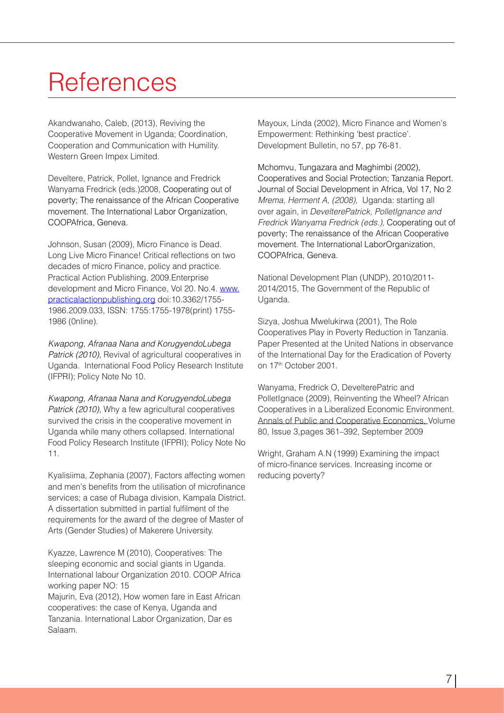# **References**

Akandwanaho, Caleb, (2013), Reviving the Cooperative Movement in Uganda; Coordination, Cooperation and Communication with Humility. Western Green Impex Limited.

Develtere, Patrick, Pollet, Ignance and Fredrick Wanyama Fredrick (eds.)2008, Cooperating out of poverty; The renaissance of the African Cooperative movement. The International Labor Organization, COOPAfrica, Geneva.

Johnson, Susan (2009), Micro Finance is Dead. Long Live Micro Finance! Critical reflections on two decades of micro Finance, policy and practice. Practical Action Publishing, 2009.Enterprise development and Micro Finance, Vol 20. No.4. www. practicalactionpublishing.org doi:10.3362/1755- 1986.2009.033, ISSN: 1755:1755-1978(print) 1755- 1986 (0nline).

*Kwapong, Afranaa Nana and KorugyendoLubega Patrick (2010),* Revival of agricultural cooperatives in Uganda. International Food Policy Research Institute (IFPRI); Policy Note No 10.

*Kwapong, Afranaa Nana and KorugyendoLubega Patrick (2010),* Why a few agricultural cooperatives survived the crisis in the cooperative movement in Uganda while many others collapsed. International Food Policy Research Institute (IFPRI); Policy Note No 11.

Kyalisiima, Zephania (2007), Factors affecting women and men's benefits from the utilisation of microfinance services; a case of Rubaga division, Kampala District. A dissertation submitted in partial fulfilment of the requirements for the award of the degree of Master of Arts (Gender Studies) of Makerere University.

Kyazze, Lawrence M (2010), Cooperatives: The sleeping economic and social giants in Uganda. International labour Organization 2010. COOP Africa working paper NO: 15 Majurin, Eva (2012), How women fare in East African cooperatives: the case of Kenya, Uganda and Tanzania. International Labor Organization, Dar es Salaam.

Mayoux, Linda (2002), Micro Finance and Women's Empowerment: Rethinking 'best practice'. Development Bulletin, no 57, pp 76-81.

Mchomvu, Tungazara and Maghimbi (2002), Cooperatives and Social Protection; Tanzania Report. Journal of Social Development in Africa, Vol 17, No 2 *Mrema, Herment A, (2008),* Uganda: starting all over again, in *DevelterePatrick, PolletIgnance and Fredrick Wanyama Fredrick (eds.),* Cooperating out of poverty; The renaissance of the African Cooperative movement. The International LaborOrganization, COOPAfrica, Geneva.

National Development Plan (UNDP), 2010/2011- 2014/2015, The Government of the Republic of Uganda.

Sizya, Joshua Mwelukirwa (2001), The Role Cooperatives Play in Poverty Reduction in Tanzania. Paper Presented at the United Nations in observance of the International Day for the Eradication of Poverty on 17<sup>th</sup> October 2001.

Wanyama, Fredrick O, DevelterePatric and PolletIgnace (2009), Reinventing the Wheel? African Cooperatives in a Liberalized Economic Environment. Annals of Public and Cooperative Economics, Volume 80, Issue 3,pages 361–392, September 2009

Wright, Graham A.N (1999) Examining the impact of micro-finance services. Increasing income or reducing poverty?